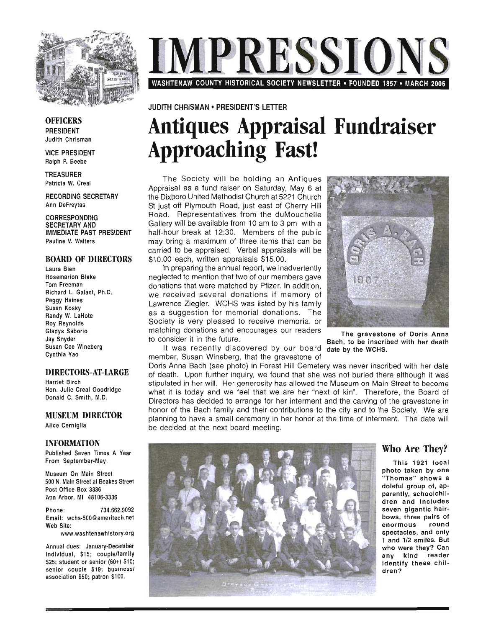

**MPRESSION** WASHTENAW COUNTY HISTORICAL SOCIETY NEWSLETTER • FOUNDED 1857 • MARCH 2006

#### JUDITH CHRISMAN • PRESIDENT'S LETTER

## **Antiques Appraisal Fundraiser Approaching Fast!**

The Society will be holding an Antiques Appraisal as a fund raiser on Saturday, May 6 at the Dixboro United Methodist Church at 5221 Church St just off Plymouth Road, just east of Cherry Hill Road. Representatives from the duMouchelle Gallery will be available from 10 am to 3 pm with a half-hour break at 12:30. Members of the public may bring a maximum of three items that can be carried to be appraised. Verbal appraisals will be \$10.00 each, written appraisals \$15.00.

In preparing the annual report, we inadvertently neglected to mention that two of our members gave donations that were matched by Pfizer. In addition, we received several donations if memory of Lawrence Ziegler. WCHS was listed by his family as a suggestion for memorial donations. The Society is very pleased to receive memorial or matching donations and encourages our readers to consider it in the future.

It was recently discovered by our board member, Susan Wineberg, that the gravestone of



The gravestone of Doris Anna Bach, to be inscribed with her death date by the WCHS.

Doris Anna Bach (see photo) in Forest Hill Cemetery was never inscribed with her date of death. Upon further inquiry, we found that she was not buried there although it was stipulated in her will. Her generosity has allowed the Museum on Main Street to become what it is today and we feel that we are her "next of kin". Therefore, the Board of Directors has decided to arrange for her interment and the carving of the gravestone in honor of the Bach family and their contributions to the city and to the Society. We are planning to have a small ceremony in her honor at the time of interment. The date will be decided at the next board meeting.



## Who Are They?

This 1921 local p hoto taken by one 'Thomas" shows a doleful group of, apparently, schoolchildren and includes seven gigantic hairbows, three pairs of enormous round spectacles, and only 1 and 1/2 smiles. But who were they? Can any kind reader identify these children?

**OFFICERS** PRESIDENT Judith Chrisman

VICE PRESIDENT Ralph P. Beebe

TREASURER Patricia W. Creal

RECORDING SECRETARY Ann DeFreytas

CORRESPONDING SECRETARY AND IMMEDIATE PAST PRESIDENT Pauline V. Walters

#### BOARD OF DIRECTORS

Laura Bien Rosemarion Blake Tom Freeman Richard L. Galant, Ph.D. Peggy Haines Susan Kosky Randy W. LaHote Roy Reynolds Gladys Saborio Jay Snyder Susan Cee Wineberg Cynthia Yao

#### DIRECTORS-AT-LARGE

Harriet Birch Hon. Julie Creal Goodridge Donald C. Smith, M.D.

#### MUSEUM DIRECTOR

Alice Cerniglia

#### INFORMATION

Published Seven Times A Year From September-May.

Museum On Main Street 500 N. Main Street at Beakes Street Post Office Box 3336 Ann Arbor, MI 48106-3336

Phone: 734.662.9092 Email: wchs-500@ameritech.net Web Site:

www.washtenawhistory.org

Annual dues: January-December individual, \$15; couple/family \$25; student or senior (60+) \$10; senior couple \$19; business/ association \$50; patron \$100.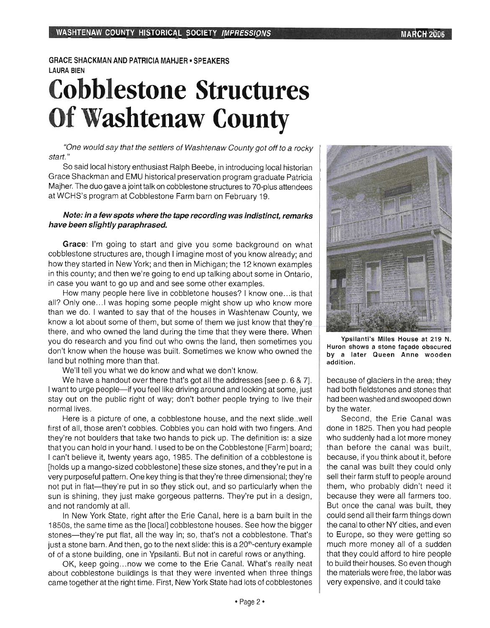#### GRACE SHACKMAN AND PATRICIA MAHJER . SPEAKERS LAURA BIEN

# **Cobblestone Structures Of Washtenaw County**

"One would say that the settlers of Washtenaw County got off to a rocky start."

So said local history enthusiast Ralph Beebe, in introducing local historian Grace Shackman and EMU historical preservation program graduate Patricia Majher. The duo gave a joint talk on cobblestone structures to 70-plus attendees at WCHS's program at Cobblestone Farm barn on February 19.

#### Note: in a few spots where the tape recording was indistinct, remarks have been slightly paraphrased.

Grace: I'm going to start and give you some background on what cobblestone structures are, though I imagine most of you know already; and how they started in New York; and then in Michigan; the 12 known examples in this county; and then we're going to end up talking about some in Ontario, in case you want to go up and and see some other examples.

How many people here live in cobbletone houses? I know one... is that all? Only one... I was hoping some people might show up who know more than we do. I wanted to say that of the houses in Washtenaw County, we know a lot about some of them, but some of them we just know that they're there, and who owned the land during the time that they were there. When you do research and you find out who owns the land, then sometimes you don't know when the house was built. Sometimes we know who owned the land but nothing more than that.

We'll tell you what we do know and what we don't know.

We have a handout over there that's got all the addresses [see p. 6 & 7]. I want to urge people—if you feel like driving around and looking at some, just stay out on the public right of way; don't bother people trying to live their normal lives.

Here is a picture of one, a cobblestone house, and the next slide .. well first of all, those aren't cobbles. Cobbles you can hold with two fingers. And they're not boulders that take two hands to pick up. The definition is: a size that you can hold in your hand. I used to be on the Cobblestone [Farm] board; I can't believe it, twenty years ago, 1985. The definition of a cobblestone is [holds up a mango-sized cobblestone] these size stones, and they're put in a very purposeful pattern. One key thing is that they're three dimensional; they're not put in flat—they're put in so they stick out, and so particularly when the sun is shining, they just make gorgeous patterns. They're put in a design, and not randomly at all.

In New York State, right after the Erie Canal, here is a barn built in the 1850s, the same time as the [local] cobblestone houses. See how the bigger stones-they're put flat, all the way in; so, that's not a cobblestone. That's just a stone barn. And then, go to the next slide: this is a 20<sup>th</sup>-century example of of a stone building, one in Ypsilanti. But not in careful rows or anything.

OK, keep going...now we come to the Erie Canal. What's really neat about cobblestone buildings is that they were invented when three things came together at the right time. First, New York State had lots of cobblestones



Ypsilanti's Miles House at 219 N. Huron shows a stone façade obscured by a later Queen Anne wooden addition.

because of glaciers in the area; they had both fieldstones and stones that had been washed and swooped down by the water.

Second, the Erie Canal was done in 1825. Then you had people who suddenly had a lot more money than before the canal was built, because, if you think about it, before the canal was built they could only sell their farm stuff to people around them, who probably didn't need it because they were all farmers too. But once the canal was built, they could send all their farm things down the canal to other NY cities, and even to Europe, so they were getting so much more money all of a sudden that they could afford to hire people to build their houses. So even though the materials were free, the labor was very expensive, and it could take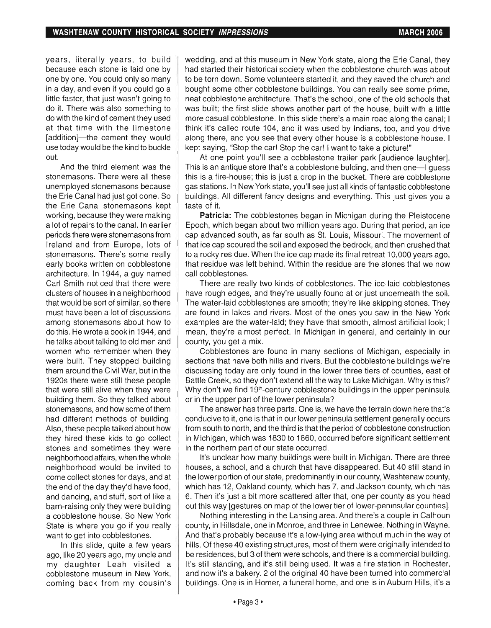years, literally years, to build because each stone is laid one by one by one. You could only so many in a day, and even if you could go a little faster, that just wasn't going to do it. There was also something to do with the kind of cement they used at that time with the limestone [addition]-the cement they would use today would be the kind to buckle out.

And the third element was the stonemasons. There were all these unemployed stonemasons because the Erie Canal had just got done. So the Erie Canal stonemasons kept working, because they were making a lot of repairs to the canal. In earlier periods there were stonemasons from Ireland and from Europe, lots of stonemasons. There's some really early books written on cobblestone architecture. In 1944, a guy named Carl Smith noticed that there were clusters of houses in a neighborhood that would be sort of similar, so there must have been a lot of discussions among stonemasons about how to do this. He wrote a book in 1944, and he talks about talking to old men and women who remember when they were built. They stopped building them around the Civil War, but in the 1920s there were still these people that were still alive when they were building them. So they talked about stonemasons, and how some of them had different methods of building. Also, these people talked about how they hired these kids to go collect stones and sometimes they were neighborhood affairs, when the whole neighborhood would be invited to come collect stones for days, and at the end of the day they'd have food, and dancing, and stuff, sort of like a barn-raising only they were building a cobblestone house. So New York State is where you go if you really want to get into cobblestones.

In this slide, quite a few years ago, like 20 years ago, my uncle and my daughter Leah visited a cobblestone museum in New York, coming back from my cousin's

wedding, and at this museum in New York state, along the Erie Canal, they had started their historical society when the cobblestone church was about to be torn down. Some volunteers started it, and they saved the church and bought some other cobblestone buildings. You can really see some prime, neat cobblestone architecture. That's the school, one of the old schools that was built; the first slide shows another part of the house, built with a little more casual cobblestone. In this slide there's a main road along the canal; I think it's called route 104, and it was used by Indians, too, and you drive along there, and you see that every other house is a cobblestone house. I kept saying, "Stop the car! Stop the car! I want to take a picture!"

At one point you'll see a cobblestone trailer park [audience laughter]. This is an antique store that's a cobblestone bulding, and then one-I guess this is a fire-house; this is just a drop in the bucket. There are cobblestone gas stations. In New York state, you'll see just all kinds of fantastic cobblestone buildings. All different fancy designs and everything. This just gives you a taste of it.

**Patricia:** The cobblestones began in Michigan during the Pleistocene Epoch, which began about two million years ago. During that period, an ice cap advanced south, as far south as St. Louis, Missouri. The movement of that ice cap scoured the soil and exposed the bedrock, and then crushed that to a rocky residue. When the ice cap made its final retreat 10,000 years ago, that residue was left behind. Within the residue are the stones that we now call cobblestones.

There are really two kinds of cobblestones. The ice-laid cobblestones have rough edges, and they're usually found at or just underneath the soil. The water-laid cobblestones are smooth; they're like skipping stones. They are found in lakes and rivers. Most of the ones you saw in the New York examples are the water-laid; they have that smooth, almost artificial look; I mean, they're almost perfect. In Michigan in general, and certainly in our county, you get a mix.

Cobblestones are found in many sections of Michigan, especially in sections that have both hills and rivers. But the cobblestone buildings we're discussing today are only found in the lower three tiers of counties, east of Battle Creek, so they don't extend all the way to Lake Michigan. Why is this? Why don't we find 19<sup>th</sup>-century cobblestone buildings in the upper peninsula or in the upper part of the lower peninsula?

The answer has three parts. One is, we have the terrain down here that's conducive to it, one is that in our lower peninsula settlement generally occurs from south to north, and the third is that the period of cobblestone construction in Michigan, which was 1830 to 1860, occurred before significant settlement in the northern part of our state occurred.

It's unclear how many buildings were built in Michigan. There are three houses, a school, and a church that have disappeared. But 40 still stand in the lower portion of our state, predominantly in our county, Washtenaw county, which has 12, Oakland county, which has 7, and Jackson county, which has 6. Then it's just a bit more scattered after that, one per county as you head out this way [gestures on map of the lower tier of lower-peninsular counties].

Nothing interesting in the Lansing area. And there's a couple in Calhoun county, in Hillsdale, one in Monroe, and three in Lenewee. Nothing in Wayne. And that's probably because it's a low-lying area without much in the way of hills. Of these 40 existing structures, most of them were originally intended to be residences, but 3 of them were schools, and there is a commercial building. It's still standing, and it's still being used. It was a fire station in Rochester, and now it's a bakery. 2 of the original 40 have been turned into commercial buildings. One is in Homer, a funeral home, and one is in Auburn Hills, it's a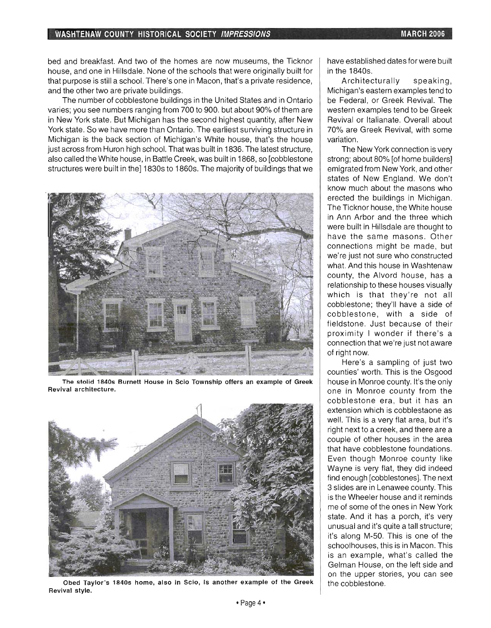#### **WASHTENAW COUNTY HISTORICAL SOCIETY IMPRESSIONS MARCH 2006**

bed and breakfast. And two of the homes are now museums, the Ticknor house, and one in Hillsdale. None of the schools that were originally built for that purpose is still a school. There's one in Macon, that's a private residence, and the other two are private buildings.

The number of cobblestone buildings in the United States and in Ontario varies; you see numbers ranging from 700 to 900. but about 90% of them are in New York state. But Michigan has the second highest quantity, after New York state. So we have more than Ontario. The earliest surviving structure in Michigan is the back section of Michigan's White house, that's the house just across from Huron high school. That was built in 1836. The latest structure, also called the White house, in Battle Creek, was built in 1868, so [cobblestone structures were built in the] 1830s to 1860s. The majority of buildings that we



The stolid 1840s Burnett House in Scio Township offers an example of Greek Revival architecture.



Obed Taylor's 1840s home, also in Scio, is another example of the Greek Revival style.

have established dates for were built in the 1840s.

Architecturally speaking, Michigan's eastern examples tend to be Federal, or Greek Revival. The western examples tend to be Greek Revival or Italianate. Overall about 70% are Greek Revival, with some variation.

The New York connection is very strong; about 80% [of home builders] emigrated from New York, and other states of New England. We don't know much about the masons who erected the buildings in Michigan. The Ticknor house, the White house in Ann Arbor and the three which were built in Hillsdale are thought to have the same masons. Other connections might be made, but we're just not sure who constructed what. And this house in Washtenaw county, the Alvord house, has a relationship to these houses visually which is that they're not all cobblestone; they'll have a side of cobblestone, with a side of fieldstone. Just because of their proximity I wonder if there's a connection that we're just not aware of right now.

Here's a sampling of just two counties' worth. This is the Osgood house in Monroe county. It's the only one in Monroe county from the cobblestone era, but it has an extension which is cobblestaone as well. This is a very flat area, but it's right next to a creek, and there are a couple of other houses in the area that have cobblestone foundations. Even though Monroe county like Wayne is very flat, they did indeed find enough [cobblestones]. The next 3 slides are in Lenawee county. This is the Wheeler house and it reminds me of some of the ones in New York state. And it has a porch, it's very unusual and it's quite a tall structure; it's along M-50. This is one of the schoolhouses, this is in Macon. This is an example, what's called the Gelman House, on the left side and on the upper stories, you can see the cobblestone.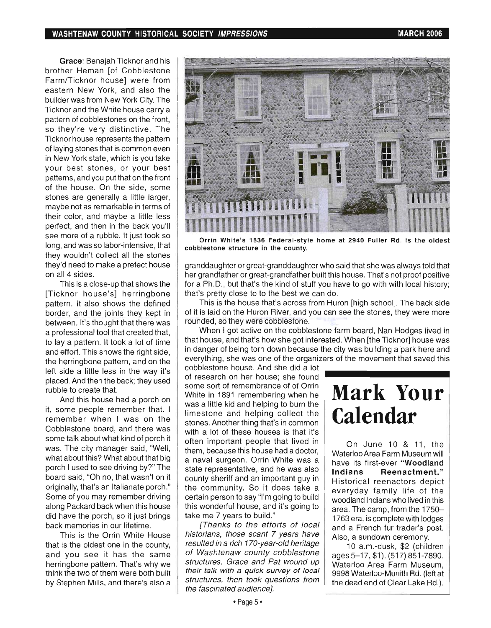Grace: Benajah Ticknor and his brother Heman [of Cobblestone Farm/Ticknor house] were from eastern New York, and also the builder was from New York City. The Ticknor and the White house carry a pattern of cobblestones on the front, so they're very distinctive. The Ticknor house represents the pattern of laying stones that is common even in New York state, which is you take your best stones, or your best patterns, and you put that on the front of the house. On the side, some stones are generally a little larger, maybe not as remarkable in terms of their color, and maybe a little less perfect, and then in the back you'll see more of a rubble. It just took so long, and was so labor-intensive, that they wouldn't collect all the stones they'd need to make a prefect house on all 4 sides.

This is a close-up that shows the [Ticknor house's] herringbone pattern. It also shows the defined border, and the joints they kept in between. It's thought that there was a professional tool that created that, to lay a pattern. It took a lot of time and effort. This shows the right side, the herringbone pattern, and on the left side a little less in the way it's placed. And then the back; they used rubble to create that.

And this house had a porch on it, some people remember that. I remember when I was on the Cobblestone board, and there was some talk about what kind of porch it was. The city manager said, "Well, what about this? What about that big porch I used to see driving by?" The board said, "Oh no, that wasn't on it originally, that's an Italianate porch." Some of you may remember driving along Packard back when this house did have the porch, so it just brings back memories in our lifetime.

This is the Orrin White House that is the oldest one in the county, and you see it has the same herringbone pattern. That's why we think the two of them were both built by Stephen Mills, and there's also a



Orrin White's 1836 Federal-style home at 2940 Fuller Rd. is the oldest cobblestone structure in the county.

granddaughter or great-granddaughter who said that she was always told that her grandfather or great-grandfather built this house. That's not proof positive for a Ph.D., but that's the kind of stuff you have to go with with local history; that's pretty close to to the best we can do.

This is the house that's across from Huron [high school]. The back side of it is laid on the Huron River, and you can see the stones, they were more rounded, so they were cobblestone.

When I got active on the cobblestone farm board, Nan Hodges lived in that house, and that's how she got interested. When [the Ticknor] house was in danger of being torn down because the city was building a park here and everything, she was one of the organizers of the movement that saved this

cobblestone house. And she did a lot of research on her house; she found some sort of remembrance of of Orrin White in 1891 remembering when he was a little kid and helping to burn the limestone and helping collect the stones. Another thing that's in common with a lot of these houses is that it's often important people that lived in  $\vert$  On June 10 & 11, the them, because this house had a doctor, Waterloo Area Farm Museum will a naval surgeon. Orrin White was a have its first-ever "Woodland" state representative, and he was also | Indians Reenactment." county sheriff and an important guy in the community. So it does take a certain person to say "I'm going to build this wonderful house, and it's going to take me 7 years to build."

[Thanks to the efforts of local historians, those scant 7 years have resulted in a rich 170-year-old heritage of Washtenaw county cobblestone structures. Grace and Pat wound up their talk with a quick survey of local structures, then took questions from the fascinated audience).

# **Mark Your Calendar**

Historical reenactors depict everyday family life of the woodland Indians who lived in this area. The camp, from the 1750- 1763 era, is complete with lodges and a French fur trader's post. Also, a sundown ceremony.

10 a.m.-dusk, \$2 (children ages 5-17, \$1). (517) 851-7890. Waterloo Area Farm Museum, 9998 Waterloo-Munith Rd. (lett at the dead end of Clear Lake Rd.).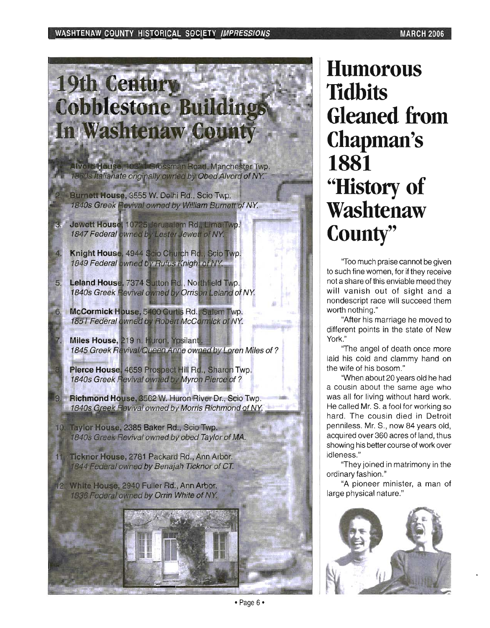# **19th Century Cobblestone Buildings** In Washtenaw County

Alvord House, 10331 Grossman Road, Manchester Twp. 1860s Italianate originally owned by Obed Alvord of NY.

Burnett House, 3555 W. Delhi Rd., Scio Twp. 1840s Greek Revival owned by William Burnett of NY.

Jewett House, 10725 Jerusalem Rd., Lima Twp. 1847 Federal owned by Lester Jewett of NY.

Knight House, 4944 Scio Church Rd., Scio Twp. 1849 Federal owned by Rufus Knight of NY.

Leland House, 7374 Sutton Rd., Northfield Twp. 1840s Greek Flevival owned by Orrison Leland of NY.

McCormick House, 5400 Curtis Rd., Salem Twp. 1851 Federal owned by Robert McCormick of NY.

Miles House, 219 n. Huron, Ypsilanti. 1845 Greek Revival/Queen Anne owned by Loren Miles of?

Pierce House, 4659 Prospect Hill Rd., Sharon Twp. 1840s Greek Flevival owned by Myron Pierce of?

Richmond House, 3562 W. Huron River Dr., Scio Twp. 1840s Greek Revival owned by Morris Richmond of NY.

10. Taylor House, 2385 Baker Rd., Scio Twp. 1840s Greek Revival owned by obed Taylor of MA.

Ticknor House, 2781 Packard Rd., Ann Arbor. 1844 Federal owned by Benajah Ticknor of CT.

12. White House, 2940 Fuller Rd., Ann Arbor. 1836 Federal owned by Orrin White of NY.



**Humorous TIdbits Gleaned from Chapman's 1881 "History of Washtenaw County"** 

'Too much praise cannot be given to such fine women, for if they receive not a share of this enviable meed they will vanish out of sight and a nondescript race will succeed them worth nothing."

"After his marriage he moved to different points in the state of New York."

'The angel of death once more laid his cold and clammy hand on the wife of his bosom."

"When about 20 years old he had a cousin about the same age who was all for living without hard work. He called Mr. S. a fool for working so hard. The cousin died in Detroit penniless. Mr. S., now 84 years old, acquired over 360 acres of land, thus showing his better course of work over idleness."

'They joined in matrimony in the ordinary fashion."

"A pioneer minister, a man of large physical nature."

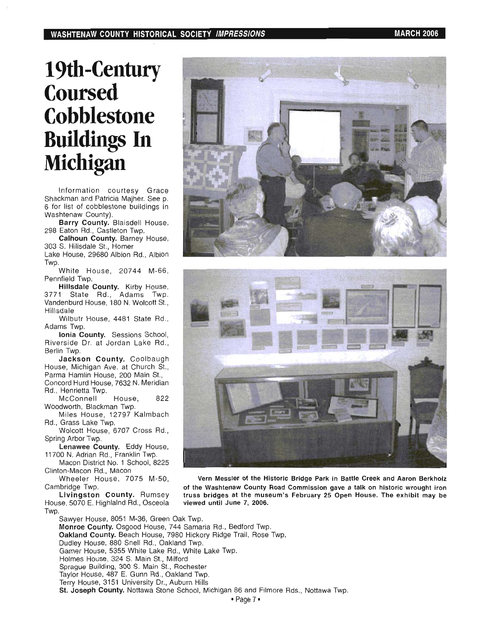## **19th-Century Coursed Cobblestone Buildings In Michigan**

Information courtesy Grace Shackman and Patricia Majher. See p. 6 for list of cobblestone buildings in Washtenaw County).

**Barry County.** Blaisdell House, 298 Eaton Rd., Castleton Twp.

**Calhoun County.** Barney House, 303 S. Hillsdale St. , Homer Lake House, 29680 Albion Rd., Albion

.an<del>c</del> I

White House, 20744 M-66, Pennfield Twp.

**Hillsdale County.** Kirby House, 3771 State Rd., Adams Twp. Vandenburd House, 180 N. Wolcott St., Hillsdale

Wilbutr House, 4481 State Rd., Adams Twp,

**Ionia County.** Sessions School, **Riverside Dr. at Jordan Lake Rd.** Berlin Twp. **Jackson County.** Coolbaugh

House, Michigan Ave. at Church St., Parma Hamlin House, 200 Main St., Concord Hurd House, 7632 N. Meridian

Rd., Henrietta Twp. McConnell House, 822

Woodworth, Blackman Twp. Miles House, 12797 Kalmbach

Rd., Grass Lake Twp. Wolcott House, 6707 Cross Rd., **Spring Arbor Twp.**<br>Spring Arbor Twp.

**lenawee County.** Eddy House, **LEHAWEE COUTTLY.** LOUY TIOUS

11700 N. Adrian Rd., Franklin Twp.<br>Macon District No. 1 School, 8225 Clinton-Macon Rd., Macon

Wheeler House, 7075 M-50, Cambridge Twp.

**livingston County.** Rumsey House, 5070 E. Highlalnd Rd., Osceola Tup.





**Vern Messler of the Historic Bridge Park in Battle Creek and Aaron Berkholz of the Washtenaw County Road Commission gave a talk on historic wrought iron truss bridges at the museum's February 25 Open House. The exhibit may be viewed until June 7, 2006.** 

Sawyer House, 8051 M-36, Green Oak Twp. **Monroe County.** Osgood House, 744 Samaria Rd., Bedford Twp. **Oakland County.** Beach House, 7980 Hickory Ridge Trail, Rose Twp. Dudley House, 880 Snell Rd., Oakland Twp. Dudley House, 880 Snell Rd., Oakland Twp.<br>Garner House, 5355 White Lake Rd., White Lake Twp. Holmes House, 324 S. Main St., Milford Sprague Building, 300 S. Main St. , Rochester Taylor House, 487 E. Gunn Rd., Oakland Twp. Terry House, 3151 University Dr., Auburn Hills **St. Joseph County.** Nottawa Stone School, Michigan 86 and Filmore Rds., Nottawa Twp.